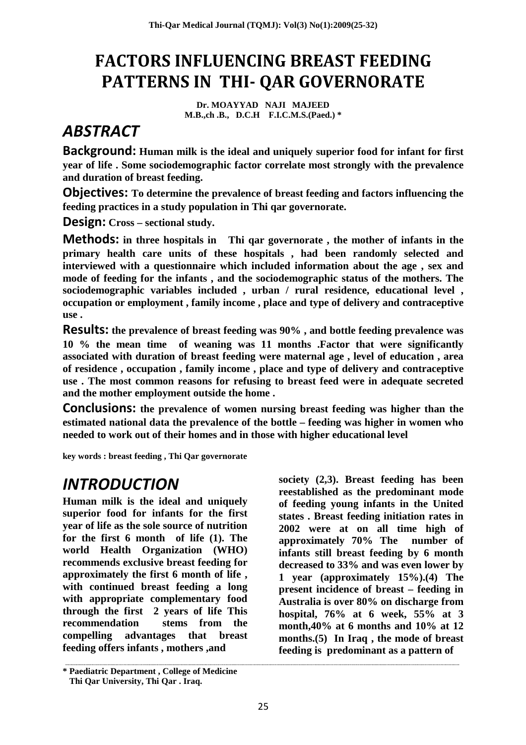## **FACTORS INFLUENCING BREAST FEEDING PATTERNS IN THI- QAR GOVERNORATE**

**Dr. MOAYYAD NAJI MAJEED M.B.,ch .B., D.C.H F.I.C.M.S.(Paed.) \***

## *ABSTRACT*

**Background: Human milk is the ideal and uniquely superior food for infant for first year of life . Some sociodemographic factor correlate most strongly with the prevalence and duration of breast feeding.**

**Objectives: To determine the prevalence of breast feeding and factors influencing the feeding practices in a study population in Thi qar governorate.**

**Design: Cross – sectional study.**

**Methods: in three hospitals in Thi qar governorate , the mother of infants in the primary health care units of these hospitals , had been randomly selected and interviewed with a questionnaire which included information about the age , sex and mode of feeding for the infants , and the sociodemographic status of the mothers. The sociodemographic variables included , urban / rural residence, educational level , occupation or employment , family income , place and type of delivery and contraceptive use .**

**Results: the prevalence of breast feeding was 90% , and bottle feeding prevalence was 10 % the mean time of weaning was 11 months .Factor that were significantly associated with duration of breast feeding were maternal age , level of education , area of residence , occupation , family income , place and type of delivery and contraceptive use . The most common reasons for refusing to breast feed were in adequate secreted and the mother employment outside the home .**

**Conclusions: the prevalence of women nursing breast feeding was higher than the estimated national data the prevalence of the bottle – feeding was higher in women who needed to work out of their homes and in those with higher educational level**

**key words : breast feeding , Thi Qar governorate**

#### *INTRODUCTION*

**Human milk is the ideal and uniquely superior food for infants for the first year of life as the sole source of nutrition for the first 6 month of life (1). The world Health Organization (WHO) recommends exclusive breast feeding for approximately the first 6 month of life , with continued breast feeding a long with appropriate complementary food through the first 2 years of life This recommendation stems from the compelling advantages that breast feeding offers infants , mothers ,and**

**society (2,3). Breast feeding has been reestablished as the predominant mode of feeding young infants in the United states . Breast feeding initiation rates in 2002 were at on all time high of approximately 70% The number of infants still breast feeding by 6 month decreased to 33% and was even lower by 1 year (approximately 15%).(4) The present incidence of breast – feeding in Australia is over 80% on discharge from hospital, 76% at 6 week, 55% at 3 month,40% at 6 months and 10% at 12 months.(5) In Iraq , the mode of breast feeding is predominant as a pattern of**

**<sup>\*</sup> Paediatric Department , College of Medicine Thi Qar University, Thi Qar . Iraq.**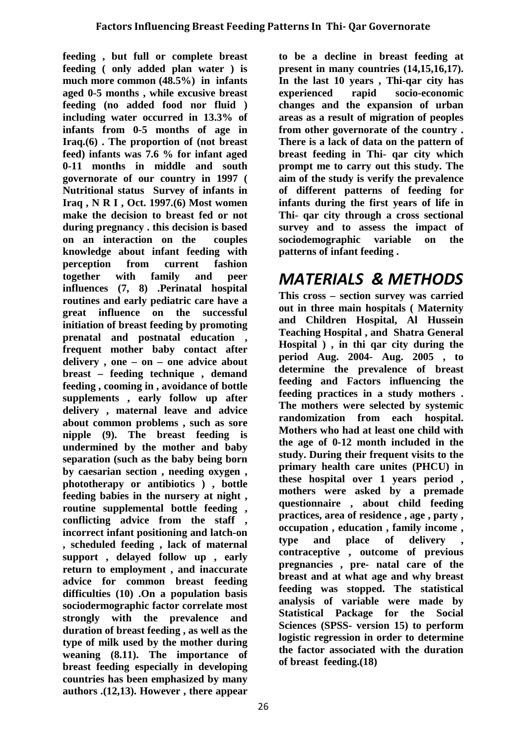**feeding , but full or complete breast feeding ( only added plan water ) is much more common (48.5%) in infants aged 0-5 months , while excusive breast feeding (no added food nor fluid ) including water occurred in 13.3% of infants from 0-5 months of age in Iraq.(6) . The proportion of (not breast feed) infants was 7.6 % for infant aged 0-11 months in middle and south governorate of our country in 1997 ( Nutritional status Survey of infants in Iraq , N R I , Oct. 1997.(6) Most women make the decision to breast fed or not during pregnancy . this decision is based on an interaction on the couples knowledge about infant feeding with perception from current fashion together with family and peer influences (7, 8) .Perinatal hospital routines and early pediatric care have a great influence on the successful initiation of breast feeding by promoting prenatal and postnatal education , frequent mother baby contact after delivery , one – on – one advice about breast – feeding technique , demand feeding , cooming in , avoidance of bottle supplements , early follow up after delivery , maternal leave and advice about common problems , such as sore nipple (9). The breast feeding is undermined by the mother and baby separation (such as the baby being born by caesarian section , needing oxygen , phototherapy or antibiotics ) , bottle feeding babies in the nursery at night , routine supplemental bottle feeding , conflicting advice from the staff , incorrect infant positioning and latch-on , scheduled feeding , lack of maternal support , delayed follow up , early return to employment , and inaccurate advice for common breast feeding difficulties (10) .On a population basis sociodermographic factor correlate most strongly with the prevalence and duration of breast feeding , as well as the type of milk used by the mother during weaning (8.11). The importance of breast feeding especially in developing countries has been emphasized by many authors .(12,13). However , there appear**

**to be a decline in breast feeding at present in many countries (14,15,16,17). In the last 10 years , Thi-qar city has experienced rapid socio-economic changes and the expansion of urban areas as a result of migration of peoples from other governorate of the country . There is a lack of data on the pattern of breast feeding in Thi- qar city which prompt me to carry out this study. The aim of the study is verify the prevalence of different patterns of feeding for infants during the first years of life in Thi- qar city through a cross sectional survey and to assess the impact of sociodemographic variable on the patterns of infant feeding .**

### *MATERIALS & METHODS*

**This cross – section survey was carried out in three main hospitals ( Maternity and Children Hospital, Al Hussein Teaching Hospital , and Shatra General Hospital ) , in thi qar city during the period Aug. 2004- Aug. 2005 , to determine the prevalence of breast feeding and Factors influencing the feeding practices in a study mothers . The mothers were selected by systemic randomization from each hospital. Mothers who had at least one child with the age of 0-12 month included in the study. During their frequent visits to the primary health care unites (PHCU) in these hospital over 1 years period , mothers were asked by a premade questionnaire , about child feeding practices, area of residence , age , party , occupation , education , family income , type and place of delivery , contraceptive , outcome of previous pregnancies , pre- natal care of the breast and at what age and why breast feeding was stopped. The statistical analysis of variable were made by Statistical Package for the Social Sciences (SPSS- version 15) to perform logistic regression in order to determine the factor associated with the duration of breast feeding.(18)**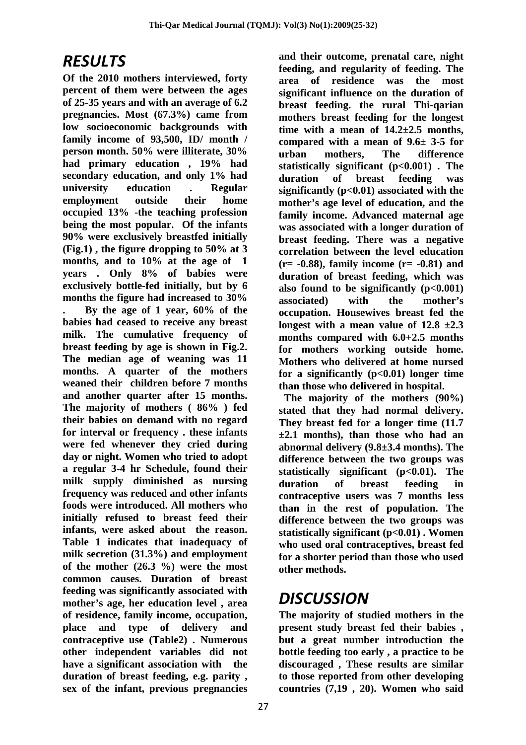#### *RESULTS*

**Of the 2010 mothers interviewed, forty percent of them were between the ages of 25-35 years and with an average of 6.2 pregnancies. Most (67.3%) came from low socioeconomic backgrounds with family income of 93,500, ID/ month / person month. 50% were illiterate, 30% had primary education , 19% had secondary education, and only 1% had university education . Regular employment outside their home occupied 13% -the teaching profession being the most popular. Of the infants 90% were exclusively breastfed initially (Fig.1) , the figure dropping to 50% at 3 months, and to 10% at the age of 1 years . Only 8% of babies were exclusively bottle-fed initially, but by 6 months the figure had increased to 30% . By the age of 1 year, 60% of the babies had ceased to receive any breast milk. The cumulative frequency of breast feeding by age is shown in Fig.2. The median age of weaning was 11 months. A quarter of the mothers weaned their children before 7 months and another quarter after 15 months. The majority of mothers ( 86% ) fed their babies on demand with no regard for interval or frequency . these infants were fed whenever they cried during day or night. Women who tried to adopt a regular 3-4 hr Schedule, found their milk supply diminished as nursing frequency was reduced and other infants foods were introduced. All mothers who initially refused to breast feed their infants, were asked about the reason. Table 1 indicates that inadequacy of milk secretion (31.3%) and employment of the mother (26.3 %) were the most common causes. Duration of breast feeding was significantly associated with mother's age, her education level , area of residence, family income, occupation, place and type of delivery and contraceptive use (Table2) . Numerous other independent variables did not have a significant association with the duration of breast feeding, e.g. parity , sex of the infant, previous pregnancies**

**and their outcome, prenatal care, night feeding, and regularity of feeding. The area of residence was the most significant influence on the duration of breast feeding. the rural Thi-qarian mothers breast feeding for the longest time with a mean of 14.2±2.5 months, compared with a mean of 9.6± 3-5 for urban mothers, The difference statistically significant (p<0.001) . The duration of breast feeding was significantly (p<0.01) associated with the mother's age level of education, and the family income. Advanced maternal age was associated with a longer duration of breast feeding. There was a negative correlation between the level education (r= -0.88), family income (r= -0.81) and duration of breast feeding, which was also found to be significantly (p<0.001) associated) with the mother's occupation. Housewives breast fed the** longest with a mean value of  $12.8 \pm 2.3$ **months compared with 6.0+2.5 months for mothers working outside home. Mothers who delivered at home nursed for a significantly (p<0.01) longer time than those who delivered in hospital.**

**The majority of the mothers (90%) stated that they had normal delivery. They breast fed for a longer time (11.7 ±2.1 months), than those who had an abnormal delivery (9.8±3.4 months). The difference between the two groups was statistically significant (p<0.01). The duration of breast feeding in contraceptive users was 7 months less than in the rest of population. The difference between the two groups was statistically significant (p<0.01) . Women who used oral contraceptives, breast fed for a shorter period than those who used other methods.**

#### *DISCUSSION*

**The majority of studied mothers in the present study breast fed their babies , but a great number introduction the bottle feeding too early , a practice to be discouraged , These results are similar to those reported from other developing countries (7,19 , 20). Women who said**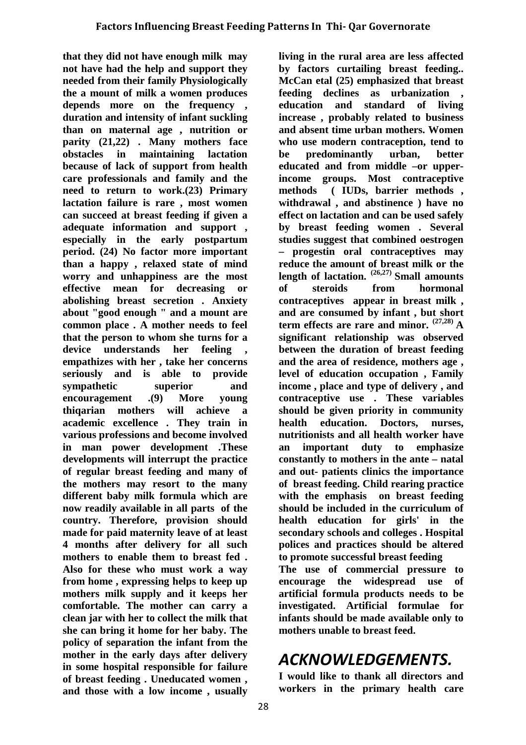**that they did not have enough milk may not have had the help and support they needed from their family Physiologically the a mount of milk a women produces depends more on the frequency , duration and intensity of infant suckling than on maternal age , nutrition or parity (21,22) . Many mothers face obstacles in maintaining lactation because of lack of support from health care professionals and family and the need to return to work.(23) Primary lactation failure is rare , most women can succeed at breast feeding if given a adequate information and support , especially in the early postpartum period. (24) No factor more important than a happy , relaxed state of mind worry and unhappiness are the most effective mean for decreasing or abolishing breast secretion . Anxiety about "good enough " and a mount are common place . A mother needs to feel that the person to whom she turns for a device understands her feeling , empathizes with her , take her concerns seriously and is able to provide sympathetic superior and encouragement .(9) More young thiqarian mothers will achieve a academic excellence . They train in various professions and become involved in man power development .These developments will interrupt the practice of regular breast feeding and many of the mothers may resort to the many different baby milk formula which are now readily available in all parts of the country. Therefore, provision should made for paid maternity leave of at least 4 months after delivery for all such mothers to enable them to breast fed . Also for these who must work a way from home , expressing helps to keep up mothers milk supply and it keeps her comfortable. The mother can carry a clean jar with her to collect the milk that she can bring it home for her baby. The policy of separation the infant from the mother in the early days after delivery in some hospital responsible for failure of breast feeding . Uneducated women , and those with a low income , usually**

**living in the rural area are less affected by factors curtailing breast feeding.. McCan etal (25) emphasized that breast feeding declines as urbanization , education and standard of living increase , probably related to business and absent time urban mothers. Women who use modern contraception, tend to be predominantly urban, better educated and from middle –or upperincome groups. Most contraceptive methods ( IUDs, barrier methods , withdrawal , and abstinence ) have no effect on lactation and can be used safely by breast feeding women . Several studies suggest that combined oestrogen – progestin oral contraceptives may reduce the amount of breast milk or the length of lactation. (26,27) Small amounts of steroids from hormonal contraceptives appear in breast milk , and are consumed by infant , but short term effects are rare and minor. (27,28) A significant relationship was observed between the duration of breast feeding and the area of residence, mothers age , level of education occupation , Family income , place and type of delivery , and contraceptive use . These variables should be given priority in community health education. Doctors, nurses, nutritionists and all health worker have an important duty to emphasize constantly to mothers in the ante – natal and out- patients clinics the importance of breast feeding. Child rearing practice with the emphasis on breast feeding should be included in the curriculum of health education for girls' in the secondary schools and colleges . Hospital polices and practices should be altered to promote successful breast feeding**

**The use of commercial pressure to encourage the widespread use of artificial formula products needs to be investigated. Artificial formulae for infants should be made available only to mothers unable to breast feed.**

### *ACKNOWLEDGEMENTS.*

**I would like to thank all directors and workers in the primary health care**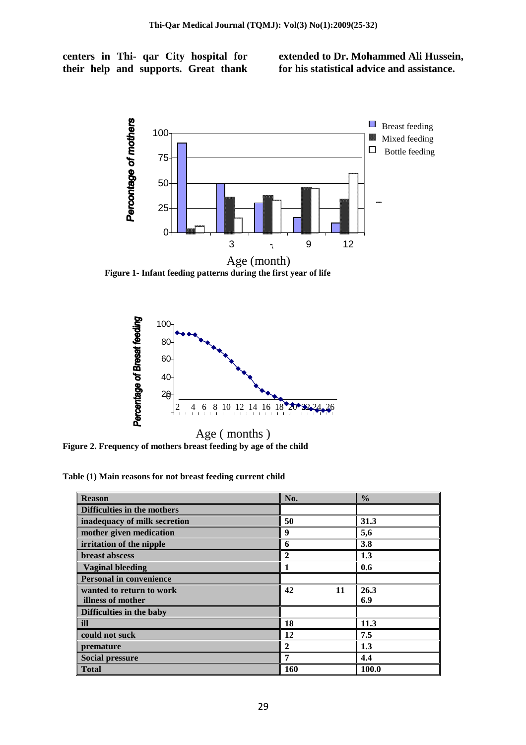**centers in Thi- qar City hospital for their help and supports. Great thank** **extended to Dr. Mohammed Ali Hussein, for his statistical advice and assistance.**



**Figure 1- Infant feeding patterns during the first year of life**



**Figure 2. Frequency of mothers breast feeding by age of the child**

**Table (1) Main reasons for not breast feeding current child**

| <b>Reason</b>                  | No.      | $\frac{0}{0}$ |
|--------------------------------|----------|---------------|
| Difficulties in the mothers    |          |               |
| inadequacy of milk secretion   | 50       | 31.3          |
| mother given medication        | 9        | 5,6           |
| irritation of the nipple       | 6        | 3.8           |
| <b>breast abscess</b>          | 2        | 1.3           |
| <b>Vaginal bleeding</b>        |          | 0.6           |
| <b>Personal in convenience</b> |          |               |
| wanted to return to work       | 42<br>11 | 26.3          |
| illness of mother              |          | 6.9           |
| Difficulties in the baby       |          |               |
| ill                            | 18       | 11.3          |
| could not suck                 | 12       | 7.5           |
| premature                      | 2        | 1.3           |
| <b>Social pressure</b>         | 7        | 4.4           |
| <b>Total</b>                   | 160      | 100.0         |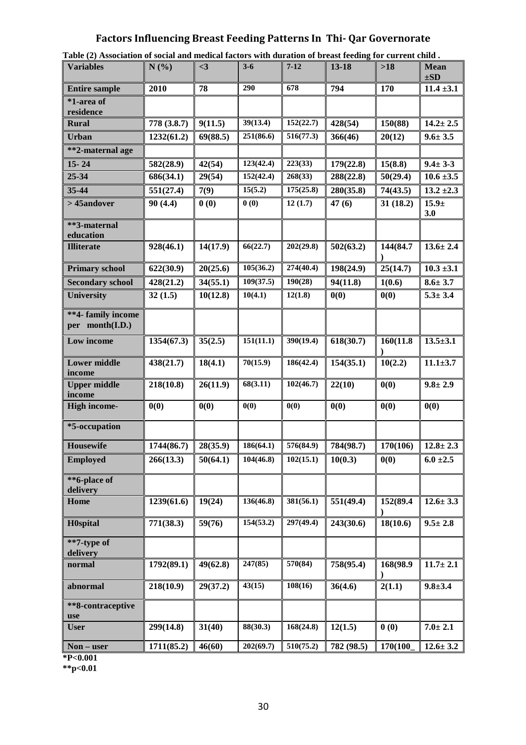#### **Factors Influencing Breast Feeding Patterns In Thi- Qar Governorate**

| Table (2) Association of social and medical factors with duration of breast feeding for current child. |             |                       |           |           |            |           |                         |  |  |
|--------------------------------------------------------------------------------------------------------|-------------|-----------------------|-----------|-----------|------------|-----------|-------------------------|--|--|
| <b>Variables</b>                                                                                       | N(%)        | $3$                   | $3 - 6$   | $7 - 12$  | 13-18      | $>18$     | <b>Mean</b><br>$\pm SD$ |  |  |
| <b>Entire sample</b>                                                                                   | 2010        | 78                    | 290       | 678       | 794        | 170       | $11.4 \pm 3.1$          |  |  |
| *1-area of<br>residence                                                                                |             |                       |           |           |            |           |                         |  |  |
| <b>Rural</b>                                                                                           | 778 (3.8.7) | 9(11.5)               | 39(13.4)  | 152(22.7) | 428(54)    | 150(88)   | $14.2 \pm 2.5$          |  |  |
| <b>Urban</b>                                                                                           | 1232(61.2)  | 69(88.5)              | 251(86.6) | 516(77.3) | 366(46)    | 20(12)    | $9.6 \pm 3.5$           |  |  |
| **2-maternal age                                                                                       |             |                       |           |           |            |           |                         |  |  |
| $15 - 24$                                                                                              | 582(28.9)   | 42(54)                | 123(42.4) | 223(33)   | 179(22.8)  | 15(8.8)   | $9.4 \pm 3.3$           |  |  |
| 25-34                                                                                                  | 686(34.1)   | 29(54)                | 152(42.4) | 268(33)   | 288(22.8)  | 50(29.4)  | $10.6 \pm 3.5$          |  |  |
| 35-44                                                                                                  | 551(27.4)   | 7(9)                  | 15(5.2)   | 175(25.8) | 280(35.8)  | 74(43.5)  | $13.2 \pm 2.3$          |  |  |
| > 45andover                                                                                            | 90(4.4)     | 0(0)                  | 0(0)      | 12(1.7)   | 47(6)      | 31(18.2)  | $15.9 +$<br>3.0         |  |  |
| **3-maternal<br>education                                                                              |             |                       |           |           |            |           |                         |  |  |
| <b>Illiterate</b>                                                                                      | 928(46.1)   | 14(17.9)              | 66(22.7)  | 202(29.8) | 502(63.2)  | 144(84.7  | $13.6 \pm 2.4$          |  |  |
| <b>Primary school</b>                                                                                  | 622(30.9)   | 20(25.6)              | 105(36.2) | 274(40.4) | 198(24.9)  | 25(14.7)  | $10.3 \pm 3.1$          |  |  |
| <b>Secondary school</b>                                                                                | 428(21.2)   | 34(55.1)              | 109(37.5) | 190(28)   | 94(11.8)   | 1(0.6)    | $8.6 \pm 3.7$           |  |  |
| <b>University</b>                                                                                      | 32(1.5)     | 10(12.8)              | 10(4.1)   | 12(1.8)   | 0(0)       | 0(0)      | $5.3 \pm 3.4$           |  |  |
| **4- family income<br>per month(I.D.)                                                                  |             |                       |           |           |            |           |                         |  |  |
| Low income                                                                                             | 1354(67.3)  | 35(2.5)               | 151(11.1) | 390(19.4) | 618(30.7)  | 160(11.8) | $13.5 \pm 3.1$          |  |  |
| <b>Lower middle</b><br>income                                                                          | 438(21.7)   | 18(4.1)               | 70(15.9)  | 186(42.4) | 154(35.1)  | 10(2.2)   | $11.1 \pm 3.7$          |  |  |
| <b>Upper middle</b><br>income                                                                          | 218(10.8)   | 26(11.9)              | 68(3.11)  | 102(46.7) | 22(10)     | 0(0)      | $9.8 \pm 2.9$           |  |  |
| <b>High income-</b>                                                                                    | 0(0)        | 0(0)                  | 0(0)      | 0(0)      | 0(0)       | 0(0)      | 0(0)                    |  |  |
| *5-occupation                                                                                          |             |                       |           |           |            |           |                         |  |  |
| Housewife                                                                                              | 1744(86.7)  | 28(35.9)              | 186(64.1) | 576(84.9) | 784(98.7)  | 170(106)  | $12.8 \pm 2.3$          |  |  |
| <b>Employed</b>                                                                                        | 266(13.3)   | $\overline{50(64.1)}$ | 104(46.8) | 102(15.1) | 10(0.3)    | 0(0)      | $6.0 \pm 2.5$           |  |  |
| **6-place of<br>delivery                                                                               |             |                       |           |           |            |           |                         |  |  |
| Home                                                                                                   | 1239(61.6)  | 19(24)                | 136(46.8) | 381(56.1) | 551(49.4)  | 152(89.4  | $12.6 \pm 3.3$          |  |  |
| <b>H</b> 0spital                                                                                       | 771(38.3)   | 59(76)                | 154(53.2) | 297(49.4) | 243(30.6)  | 18(10.6)  | $9.5 \pm 2.8$           |  |  |
| **7-type of                                                                                            |             |                       |           |           |            |           |                         |  |  |
| delivery                                                                                               |             | 49(62.8)              |           |           |            |           |                         |  |  |
| normal                                                                                                 | 1792(89.1)  |                       | 247(85)   | 570(84)   | 758(95.4)  | 168(98.9  | $11.7 \pm 2.1$          |  |  |
| abnormal                                                                                               | 218(10.9)   | 29(37.2)              | 43(15)    | 108(16)   | 36(4.6)    | 2(1.1)    | $9.8 + 3.4$             |  |  |
| **8-contraceptive<br>use                                                                               |             |                       |           |           |            |           |                         |  |  |
| <b>User</b>                                                                                            | 299(14.8)   | 31(40)                | 88(30.3)  | 168(24.8) | 12(1.5)    | 0(0)      | $7.0 \pm 2.1$           |  |  |
| Non – user                                                                                             | 1711(85.2)  | 46(60)                | 202(69.7) | 510(75.2) | 782 (98.5) | 170(100   | $12.6 \pm 3.2$          |  |  |

**\*P<0.001**

**\*\*p<0.01**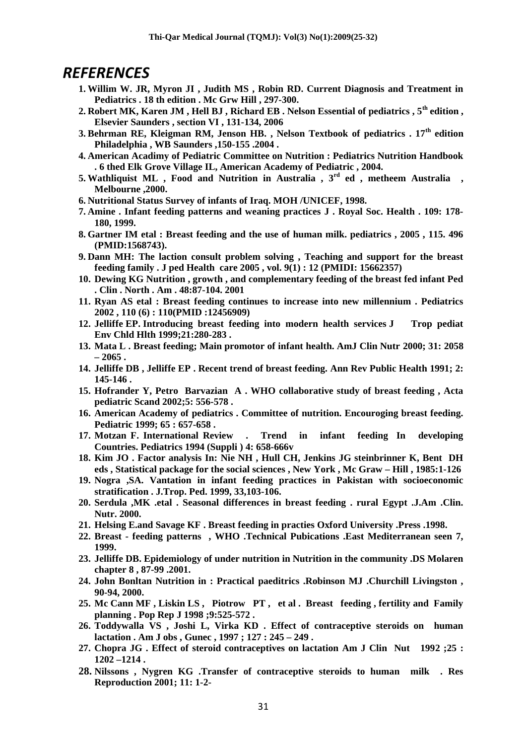#### *REFERENCES*

- **1. Willim W. JR, Myron JI , Judith MS , Robin RD. Current Diagnosis and Treatment in Pediatrics . 18 th edition . Mc Grw Hill , 297-300.**
- **2. Robert MK, Karen JM , Hell BJ , Richard EB . Nelson Essential of pediatrics , 5th edition , Elsevier Saunders , section VI , 131-134, 2006**
- **3. Behrman RE, Kleigman RM, Jenson HB. , Nelson Textbook of pediatrics . 17th edition Philadelphia , WB Saunders ,150-155 .2004 .**
- **4. American Acadimy of Pediatric Committee on Nutrition : Pediatrics Nutrition Handbook . 6 thed Elk Grove Village IL, American Academy of Pediatric , 2004.**
- **5. Wathliquist ML , Food and Nutrition in Australia , 3rd ed , metheem Australia , Melbourne ,2000.**
- **6. Nutritional Status Survey of infants of Iraq. MOH /UNICEF, 1998.**
- **7. Amine . Infant feeding patterns and weaning practices J . Royal Soc. Health . 109: 178- 180, 1999.**
- **8. Gartner IM etal : Breast feeding and the use of human milk. pediatrics , 2005 , 115. 496 (PMID:1568743).**
- **9. Dann MH: The laction consult problem solving , Teaching and support for the breast feeding family . J ped Health care 2005 , vol. 9(1) : 12 (PMIDI: 15662357)**
- **10. Dewing KG Nutrition , growth , and complementary feeding of the breast fed infant Ped . Clin . North . Am . 48:87-104. 2001**
- **11. Ryan AS etal : Breast feeding continues to increase into new millennium . Pediatrics 2002 , 110 (6) : 110(PMID :12456909)**
- **12. Jelliffe EP. Introducing breast feeding into modern health services J Trop pediat Env Chld Hlth 1999;21:280-283 .**
- **13. Mata L . Breast feeding; Main promotor of infant health. AmJ Clin Nutr 2000; 31: 2058 – 2065 .**
- **14. Jelliffe DB , Jelliffe EP . Recent trend of breast feeding. Ann Rev Public Health 1991; 2: 145-146 .**
- **15. Hofrander Y, Petro Barvazian A . WHO collaborative study of breast feeding , Acta pediatric Scand 2002;5: 556-578 .**
- **16. American Academy of pediatrics . Committee of nutrition. Encouroging breast feeding. Pediatric 1999; 65 : 657-658 .**
- **17. Motzan F. International Review . Trend in infant feeding In developing Countries. Pediatrics 1994 (Suppli ) 4: 658-666v**
- **18. Kim JO . Factor analysis In: Nie NH , Hull CH, Jenkins JG steinbrinner K, Bent DH eds , Statistical package for the social sciences , New York , Mc Graw – Hill , 1985:1-126**
- **19. Nogra ,SA. Vantation in infant feeding practices in Pakistan with socioeconomic stratification . J.Trop. Ped. 1999, 33,103-106.**
- **20. Serdula ,MK .etal . Seasonal differences in breast feeding . rural Egypt .J.Am .Clin. Nutr. 2000.**
- **21. Helsing E.and Savage KF . Breast feeding in practies Oxford University .Press .1998.**
- **22. Breast feeding patterns , WHO .Technical Pubications .East Mediterranean seen 7, 1999.**
- **23. Jelliffe DB. Epidemiology of under nutrition in Nutrition in the community .DS Molaren chapter 8 , 87-99 .2001.**
- **24. John Bonltan Nutrition in : Practical paeditrics .Robinson MJ .Churchill Livingston , 90-94, 2000.**
- **25. Mc Cann MF , Liskin LS , Piotrow PT , et al . Breast feeding , fertility and Family planning . Pop Rep J 1998 ;9:525-572 .**
- **26. Toddywalla VS , Joshi L, Virka KD . Effect of contraceptive steroids on human lactation . Am J obs , Gunec , 1997 ; 127 : 245 – 249 .**
- **27. Chopra JG . Effect of steroid contraceptives on lactation Am J Clin Nut 1992 ;25 : 1202 –1214 .**
- **28. Nilssons , Nygren KG .Transfer of contraceptive steroids to human milk . Res Reproduction 2001; 11: 1-2-**